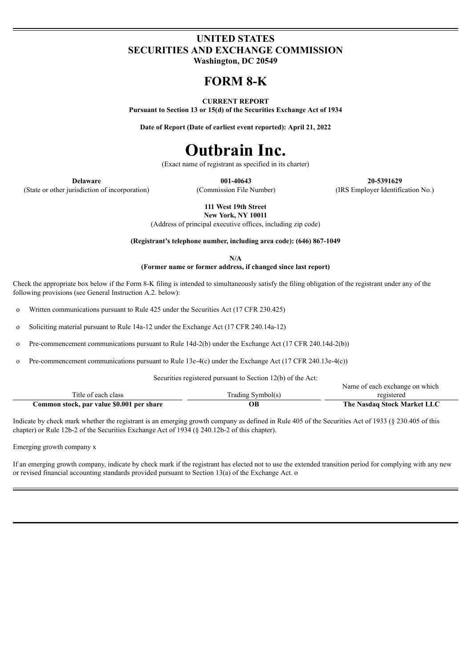## **UNITED STATES SECURITIES AND EXCHANGE COMMISSION**

**Washington, DC 20549**

# **FORM 8-K**

### **CURRENT REPORT**

**Pursuant to Section 13 or 15(d) of the Securities Exchange Act of 1934**

**Date of Report (Date of earliest event reported): April 21, 2022**

# **Outbrain Inc.**

(Exact name of registrant as specified in its charter)

(State or other jurisdiction of incorporation) (Commission File Number) (IRS Employer Identification No.)

**Delaware 001-40643 20-5391629**

**111 West 19th Street**

**New York, NY 10011** (Address of principal executive offices, including zip code)

**(Registrant's telephone number, including area code): (646) 867-1049**

**N/A**

**(Former name or former address, if changed since last report)**

Check the appropriate box below if the Form 8-K filing is intended to simultaneously satisfy the filing obligation of the registrant under any of the following provisions (see General Instruction A.2. below):

o Written communications pursuant to Rule 425 under the Securities Act (17 CFR 230.425)

o Soliciting material pursuant to Rule 14a-12 under the Exchange Act (17 CFR 240.14a-12)

o Pre-commencement communications pursuant to Rule 14d-2(b) under the Exchange Act (17 CFR 240.14d-2(b))

o Pre-commencement communications pursuant to Rule 13e-4(c) under the Exchange Act (17 CFR 240.13e-4(c))

Securities registered pursuant to Section 12(b) of the Act:

|                                           |                   | Name of each exchange on which |
|-------------------------------------------|-------------------|--------------------------------|
| Title of each class                       | Trading Symbol(s) | registered                     |
| Common stock, par value \$0.001 per share |                   | The Nasdaq Stock Market LLC    |

Indicate by check mark whether the registrant is an emerging growth company as defined in Rule 405 of the Securities Act of 1933 (§ 230.405 of this chapter) or Rule 12b-2 of the Securities Exchange Act of 1934 (§ 240.12b-2 of this chapter).

Emerging growth company x

If an emerging growth company, indicate by check mark if the registrant has elected not to use the extended transition period for complying with any new or revised financial accounting standards provided pursuant to Section 13(a) of the Exchange Act. o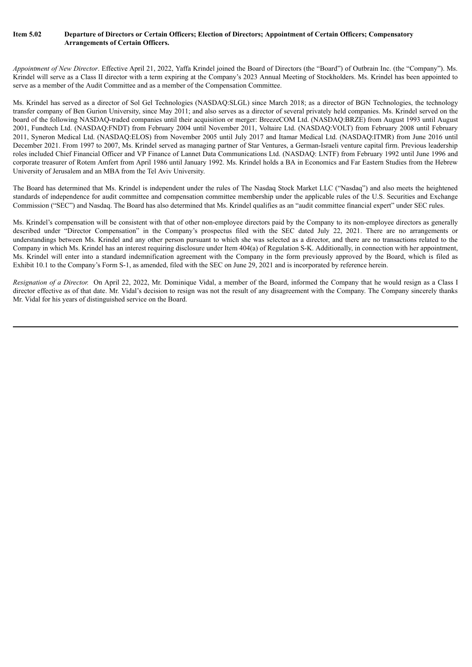#### Item 5.02 Departure of Directors or Certain Officers; Election of Directors; Appointment of Certain Officers; Compensatory **Arrangements of Certain Officers.**

*Appointment of New Director*. Effective April 21, 2022, Yaffa Krindel joined the Board of Directors (the "Board") of Outbrain Inc. (the "Company"). Ms. Krindel will serve as a Class II director with a term expiring at the Company's 2023 Annual Meeting of Stockholders. Ms. Krindel has been appointed to serve as a member of the Audit Committee and as a member of the Compensation Committee.

Ms. Krindel has served as a director of Sol Gel Technologies (NASDAQ:SLGL) since March 2018; as a director of BGN Technologies, the technology transfer company of Ben Gurion University, since May 2011; and also serves as a director of several privately held companies. Ms. Krindel served on the board of the following NASDAQ-traded companies until their acquisition or merger: BreezeCOM Ltd. (NASDAQ:BRZE) from August 1993 until August 2001, Fundtech Ltd. (NASDAQ:FNDT) from February 2004 until November 2011, Voltaire Ltd. (NASDAQ:VOLT) from February 2008 until February 2011, Syneron Medical Ltd. (NASDAQ:ELOS) from November 2005 until July 2017 and Itamar Medical Ltd. (NASDAQ:ITMR) from June 2016 until December 2021. From 1997 to 2007, Ms. Krindel served as managing partner of Star Ventures, a German-Israeli venture capital firm. Previous leadership roles included Chief Financial Officer and VP Finance of Lannet Data Communications Ltd. (NASDAQ: LNTF) from February 1992 until June 1996 and corporate treasurer of Rotem Amfert from April 1986 until January 1992. Ms. Krindel holds a BA in Economics and Far Eastern Studies from the Hebrew University of Jerusalem and an MBA from the Tel Aviv University.

The Board has determined that Ms. Krindel is independent under the rules of The Nasdaq Stock Market LLC ("Nasdaq") and also meets the heightened standards of independence for audit committee and compensation committee membership under the applicable rules of the U.S. Securities and Exchange Commission ("SEC") and Nasdaq. The Board has also determined that Ms. Krindel qualifies as an "audit committee financial expert" under SEC rules.

Ms. Krindel's compensation will be consistent with that of other non-employee directors paid by the Company to its non-employee directors as generally described under "Director Compensation" in the Company's prospectus filed with the SEC dated July 22, 2021. There are no arrangements or understandings between Ms. Krindel and any other person pursuant to which she was selected as a director, and there are no transactions related to the Company in which Ms. Krindel has an interest requiring disclosure under Item 404(a) of Regulation S-K. Additionally, in connection with her appointment, Ms. Krindel will enter into a standard indemnification agreement with the Company in the form previously approved by the Board, which is filed as Exhibit 10.1 to the Company's Form S-1, as amended, filed with the SEC on June 29, 2021 and is incorporated by reference herein.

*Resignation of a Director.* On April 22, 2022, Mr. Dominique Vidal, a member of the Board, informed the Company that he would resign as a Class I director effective as of that date. Mr. Vidal's decision to resign was not the result of any disagreement with the Company. The Company sincerely thanks Mr. Vidal for his years of distinguished service on the Board.